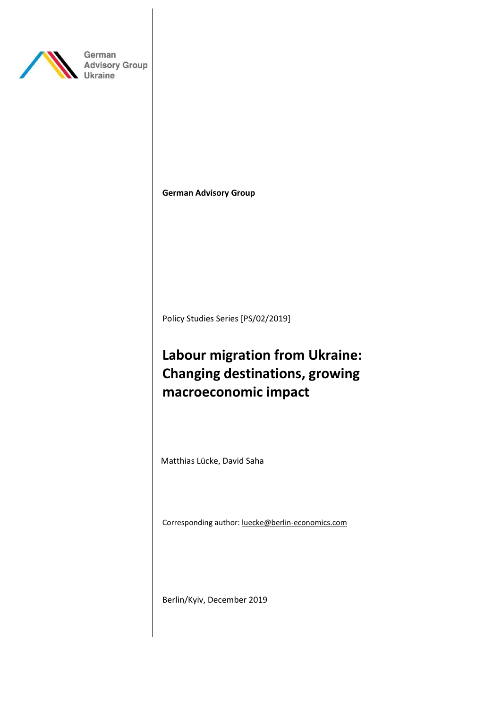

German **Advisory Group Ukraine** 

**German Advisory Group**

Policy Studies Series [PS/02/2019]

# **Labour migration from Ukraine: Changing destinations, growing macroeconomic impact**

Matthias Lücke, David Saha

Corresponding author: luecke@berlin-economics.com

Berlin/Kyiv, December 2019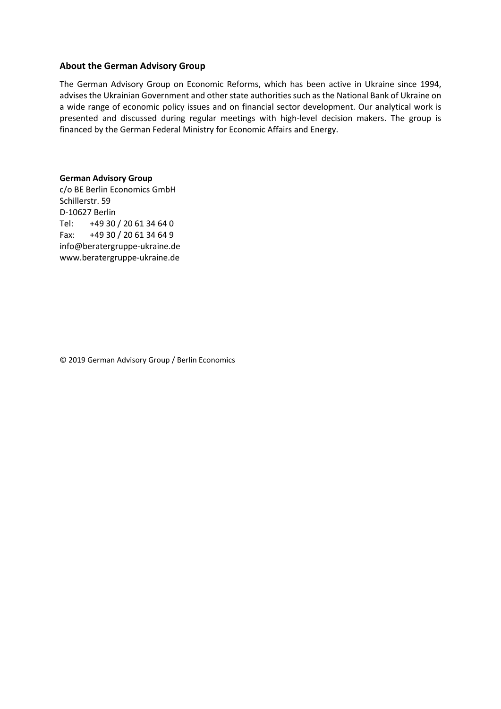## **About the German Advisory Group**

The German Advisory Group on Economic Reforms, which has been active in Ukraine since 1994, advises the Ukrainian Government and other state authorities such as the National Bank of Ukraine on a wide range of economic policy issues and on financial sector development. Our analytical work is presented and discussed during regular meetings with high-level decision makers. The group is financed by the German Federal Ministry for Economic Affairs and Energy.

# **German Advisory Group**

c/o BE Berlin Economics GmbH Schillerstr. 59 D-10627 Berlin Tel: +49 30 / 20 61 34 64 0 Fax: +49 30 / 20 61 34 64 9 info@beratergruppe-ukraine.de www.beratergruppe-ukraine.de

© 2019 German Advisory Group / Berlin Economics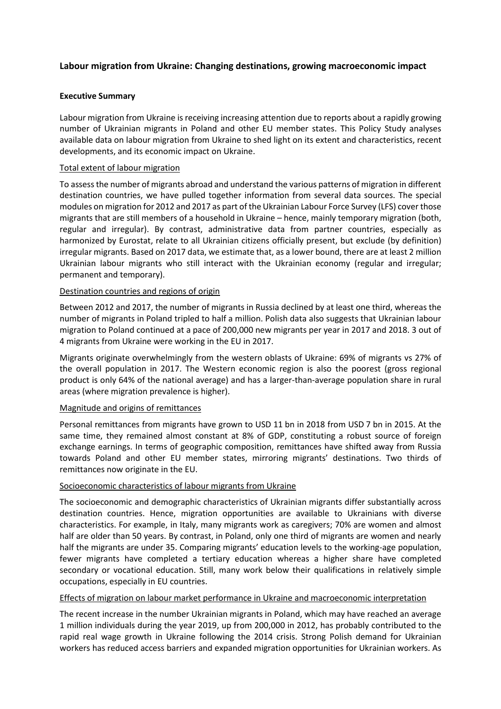# **Labour migration from Ukraine: Changing destinations, growing macroeconomic impact**

# <span id="page-2-0"></span>**Executive Summary**

Labour migration from Ukraine is receiving increasing attention due to reports about a rapidly growing number of Ukrainian migrants in Poland and other EU member states. This Policy Study analyses available data on labour migration from Ukraine to shed light on its extent and characteristics, recent developments, and its economic impact on Ukraine.

# Total extent of labour migration

To assess the number of migrants abroad and understand the various patterns of migration in different destination countries, we have pulled together information from several data sources. The special modules on migration for 2012 and 2017 as part of the Ukrainian Labour Force Survey (LFS) cover those migrants that are still members of a household in Ukraine – hence, mainly temporary migration (both, regular and irregular). By contrast, administrative data from partner countries, especially as harmonized by Eurostat, relate to all Ukrainian citizens officially present, but exclude (by definition) irregular migrants. Based on 2017 data, we estimate that, as a lower bound, there are at least 2 million Ukrainian labour migrants who still interact with the Ukrainian economy (regular and irregular; permanent and temporary).

# Destination countries and regions of origin

Between 2012 and 2017, the number of migrants in Russia declined by at least one third, whereas the number of migrants in Poland tripled to half a million. Polish data also suggests that Ukrainian labour migration to Poland continued at a pace of 200,000 new migrants per year in 2017 and 2018. 3 out of 4 migrants from Ukraine were working in the EU in 2017.

Migrants originate overwhelmingly from the western oblasts of Ukraine: 69% of migrants vs 27% of the overall population in 2017. The Western economic region is also the poorest (gross regional product is only 64% of the national average) and has a larger-than-average population share in rural areas (where migration prevalence is higher).

## Magnitude and origins of remittances

Personal remittances from migrants have grown to USD 11 bn in 2018 from USD 7 bn in 2015. At the same time, they remained almost constant at 8% of GDP, constituting a robust source of foreign exchange earnings. In terms of geographic composition, remittances have shifted away from Russia towards Poland and other EU member states, mirroring migrants' destinations. Two thirds of remittances now originate in the EU.

# Socioeconomic characteristics of labour migrants from Ukraine

The socioeconomic and demographic characteristics of Ukrainian migrants differ substantially across destination countries. Hence, migration opportunities are available to Ukrainians with diverse characteristics. For example, in Italy, many migrants work as caregivers; 70% are women and almost half are older than 50 years. By contrast, in Poland, only one third of migrants are women and nearly half the migrants are under 35. Comparing migrants' education levels to the working-age population, fewer migrants have completed a tertiary education whereas a higher share have completed secondary or vocational education. Still, many work below their qualifications in relatively simple occupations, especially in EU countries.

## Effects of migration on labour market performance in Ukraine and macroeconomic interpretation

The recent increase in the number Ukrainian migrants in Poland, which may have reached an average 1 million individuals during the year 2019, up from 200,000 in 2012, has probably contributed to the rapid real wage growth in Ukraine following the 2014 crisis. Strong Polish demand for Ukrainian workers has reduced access barriers and expanded migration opportunities for Ukrainian workers. As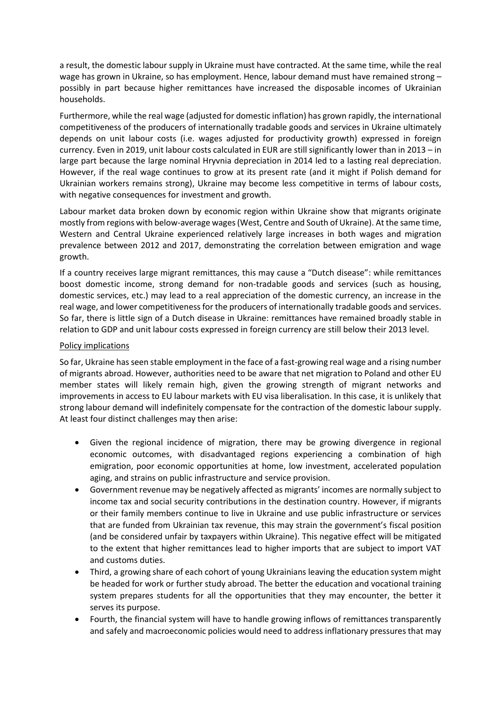a result, the domestic labour supply in Ukraine must have contracted. At the same time, while the real wage has grown in Ukraine, so has employment. Hence, labour demand must have remained strong possibly in part because higher remittances have increased the disposable incomes of Ukrainian households.

Furthermore, while the real wage (adjusted for domestic inflation) has grown rapidly, the international competitiveness of the producers of internationally tradable goods and services in Ukraine ultimately depends on unit labour costs (i.e. wages adjusted for productivity growth) expressed in foreign currency. Even in 2019, unit labour costs calculated in EUR are still significantly lower than in 2013 – in large part because the large nominal Hryvnia depreciation in 2014 led to a lasting real depreciation. However, if the real wage continues to grow at its present rate (and it might if Polish demand for Ukrainian workers remains strong), Ukraine may become less competitive in terms of labour costs, with negative consequences for investment and growth.

Labour market data broken down by economic region within Ukraine show that migrants originate mostly from regions with below-average wages (West, Centre and South of Ukraine). At the same time, Western and Central Ukraine experienced relatively large increases in both wages and migration prevalence between 2012 and 2017, demonstrating the correlation between emigration and wage growth.

If a country receives large migrant remittances, this may cause a "Dutch disease": while remittances boost domestic income, strong demand for non-tradable goods and services (such as housing, domestic services, etc.) may lead to a real appreciation of the domestic currency, an increase in the real wage, and lower competitiveness for the producers of internationally tradable goods and services. So far, there is little sign of a Dutch disease in Ukraine: remittances have remained broadly stable in relation to GDP and unit labour costs expressed in foreign currency are still below their 2013 level.

# Policy implications

So far, Ukraine has seen stable employment in the face of a fast-growing real wage and a rising number of migrants abroad. However, authorities need to be aware that net migration to Poland and other EU member states will likely remain high, given the growing strength of migrant networks and improvements in access to EU labour markets with EU visa liberalisation. In this case, it is unlikely that strong labour demand will indefinitely compensate for the contraction of the domestic labour supply. At least four distinct challenges may then arise:

- Given the regional incidence of migration, there may be growing divergence in regional economic outcomes, with disadvantaged regions experiencing a combination of high emigration, poor economic opportunities at home, low investment, accelerated population aging, and strains on public infrastructure and service provision.
- Government revenue may be negatively affected as migrants' incomes are normally subject to income tax and social security contributions in the destination country. However, if migrants or their family members continue to live in Ukraine and use public infrastructure or services that are funded from Ukrainian tax revenue, this may strain the government's fiscal position (and be considered unfair by taxpayers within Ukraine). This negative effect will be mitigated to the extent that higher remittances lead to higher imports that are subject to import VAT and customs duties.
- Third, a growing share of each cohort of young Ukrainians leaving the education system might be headed for work or further study abroad. The better the education and vocational training system prepares students for all the opportunities that they may encounter, the better it serves its purpose.
- Fourth, the financial system will have to handle growing inflows of remittances transparently and safely and macroeconomic policies would need to address inflationary pressures that may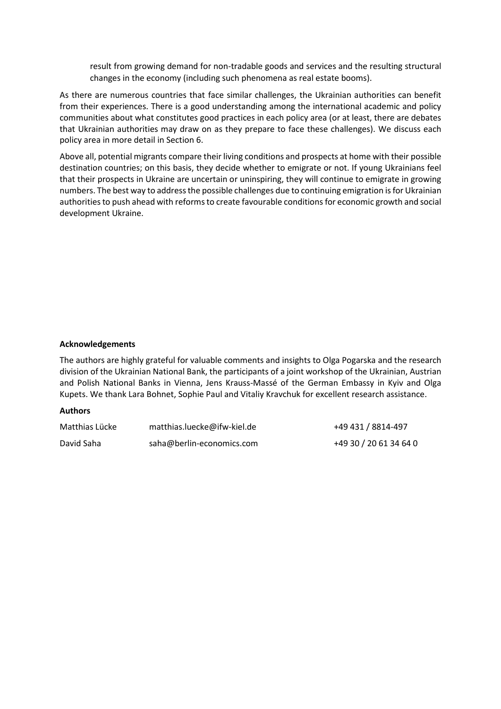result from growing demand for non-tradable goods and services and the resulting structural changes in the economy (including such phenomena as real estate booms).

As there are numerous countries that face similar challenges, the Ukrainian authorities can benefit from their experiences. There is a good understanding among the international academic and policy communities about what constitutes good practices in each policy area (or at least, there are debates that Ukrainian authorities may draw on as they prepare to face these challenges). We discuss each policy area in more detail in Section 6.

Above all, potential migrants compare their living conditions and prospects at home with their possible destination countries; on this basis, they decide whether to emigrate or not. If young Ukrainians feel that their prospects in Ukraine are uncertain or uninspiring, they will continue to emigrate in growing numbers. The best way to address the possible challenges due to continuing emigration is for Ukrainian authorities to push ahead with reforms to create favourable conditions for economic growth and social development Ukraine.

## **Acknowledgements**

The authors are highly grateful for valuable comments and insights to Olga Pogarska and the research division of the Ukrainian National Bank, the participants of a joint workshop of the Ukrainian, Austrian and Polish National Banks in Vienna, Jens Krauss-Massé of the German Embassy in Kyiv and Olga Kupets. We thank Lara Bohnet, Sophie Paul and Vitaliy Kravchuk for excellent research assistance.

## **Authors**

| Matthias Lücke | matthias.luecke@ifw-kiel.de | +49 431 / 8814-497     |
|----------------|-----------------------------|------------------------|
| David Saha     | saha@berlin-economics.com   | +49 30 / 20 61 34 64 0 |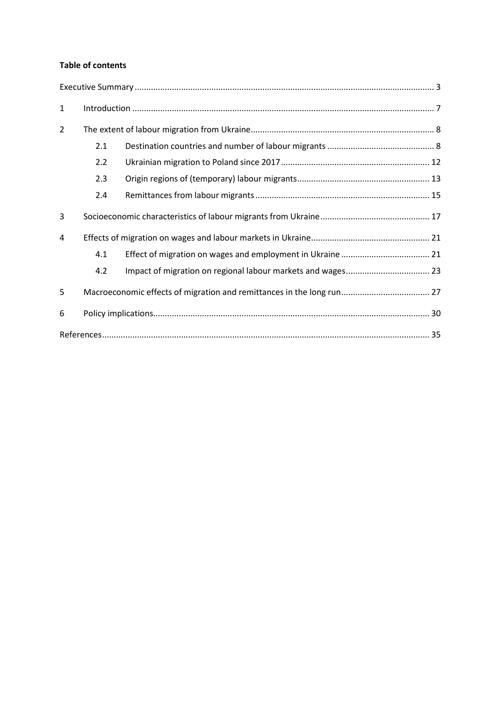# **Table of contents**

| $\mathbf{1}$ |                                                                       |  |  |  |  |  |
|--------------|-----------------------------------------------------------------------|--|--|--|--|--|
| 2            |                                                                       |  |  |  |  |  |
|              | 2.1                                                                   |  |  |  |  |  |
|              | 2.2                                                                   |  |  |  |  |  |
|              | 2.3                                                                   |  |  |  |  |  |
|              | 2.4                                                                   |  |  |  |  |  |
| 3            |                                                                       |  |  |  |  |  |
| 4            |                                                                       |  |  |  |  |  |
|              | 4.1                                                                   |  |  |  |  |  |
|              | 4.2                                                                   |  |  |  |  |  |
| 5            | Macroeconomic effects of migration and remittances in the long run 27 |  |  |  |  |  |
| 6            |                                                                       |  |  |  |  |  |
|              |                                                                       |  |  |  |  |  |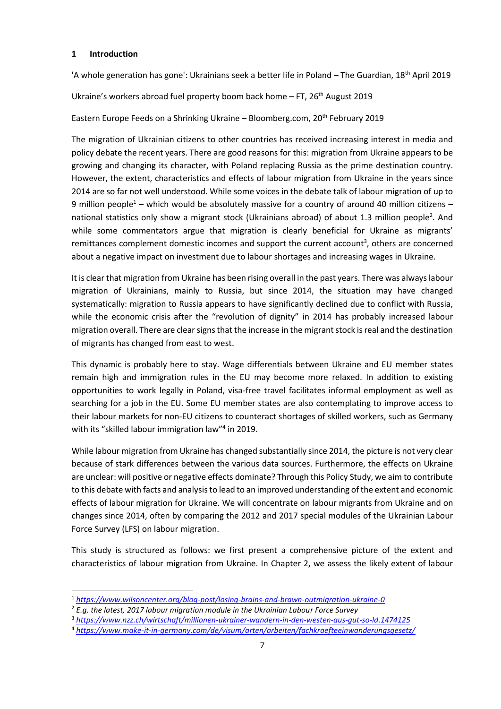## <span id="page-6-0"></span>**1 Introduction**

'A whole generation has gone': Ukrainians seek a better life in Poland – The Guardian,  $18<sup>th</sup>$  April 2019

Ukraine's workers abroad fuel property boom back home  $-$  FT, 26<sup>th</sup> August 2019

Eastern Europe Feeds on a Shrinking Ukraine - Bloomberg.com, 20<sup>th</sup> February 2019

The migration of Ukrainian citizens to other countries has received increasing interest in media and policy debate the recent years. There are good reasons for this: migration from Ukraine appears to be growing and changing its character, with Poland replacing Russia as the prime destination country. However, the extent, characteristics and effects of labour migration from Ukraine in the years since 2014 are so far not well understood. While some voices in the debate talk of labour migration of up to 9 million people<sup>1</sup> – which would be absolutely massive for a country of around 40 million citizens – national statistics only show a migrant stock (Ukrainians abroad) of about 1.3 million people<sup>2</sup>. And while some commentators argue that migration is clearly beneficial for Ukraine as migrants' remittances complement domestic incomes and support the current account<sup>3</sup>, others are concerned about a negative impact on investment due to labour shortages and increasing wages in Ukraine.

It is clear that migration from Ukraine has been rising overall in the past years. There was always labour migration of Ukrainians, mainly to Russia, but since 2014, the situation may have changed systematically: migration to Russia appears to have significantly declined due to conflict with Russia, while the economic crisis after the "revolution of dignity" in 2014 has probably increased labour migration overall. There are clear signs that the increase in the migrant stock is real and the destination of migrants has changed from east to west.

This dynamic is probably here to stay. Wage differentials between Ukraine and EU member states remain high and immigration rules in the EU may become more relaxed. In addition to existing opportunities to work legally in Poland, visa-free travel facilitates informal employment as well as searching for a job in the EU. Some EU member states are also contemplating to improve access to their labour markets for non-EU citizens to counteract shortages of skilled workers, such as Germany with its "skilled labour immigration law"<sup>4</sup> in 2019.

While labour migration from Ukraine has changed substantially since 2014, the picture is not very clear because of stark differences between the various data sources. Furthermore, the effects on Ukraine are unclear: will positive or negative effects dominate? Through this Policy Study, we aim to contribute to this debate with facts and analysis to lead to an improved understanding of the extent and economic effects of labour migration for Ukraine. We will concentrate on labour migrants from Ukraine and on changes since 2014, often by comparing the 2012 and 2017 special modules of the Ukrainian Labour Force Survey (LFS) on labour migration.

This study is structured as follows: we first present a comprehensive picture of the extent and characteristics of labour migration from Ukraine. In Chapter 2, we assess the likely extent of labour

<sup>1</sup> *<https://www.wilsoncenter.org/blog-post/losing-brains-and-brawn-outmigration-ukraine-0>*

<sup>&</sup>lt;sup>2</sup> E.g. the latest, 2017 labour migration module in the Ukrainian Labour Force Survey

<sup>3</sup> *<https://www.nzz.ch/wirtschaft/millionen-ukrainer-wandern-in-den-westen-aus-gut-so-ld.1474125>*

<sup>4</sup> *<https://www.make-it-in-germany.com/de/visum/arten/arbeiten/fachkraefteeinwanderungsgesetz/>*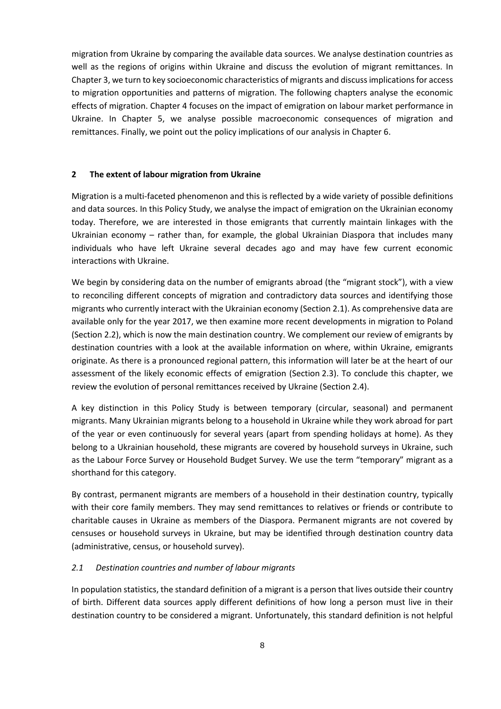migration from Ukraine by comparing the available data sources. We analyse destination countries as well as the regions of origins within Ukraine and discuss the evolution of migrant remittances. In Chapter 3, we turn to key socioeconomic characteristics of migrants and discuss implications for access to migration opportunities and patterns of migration. The following chapters analyse the economic effects of migration. Chapter 4 focuses on the impact of emigration on labour market performance in Ukraine. In Chapter 5, we analyse possible macroeconomic consequences of migration and remittances. Finally, we point out the policy implications of our analysis in Chapter 6.

#### <span id="page-7-0"></span>**2 The extent of labour migration from Ukraine**

Migration is a multi-faceted phenomenon and this is reflected by a wide variety of possible definitions and data sources. In this Policy Study, we analyse the impact of emigration on the Ukrainian economy today. Therefore, we are interested in those emigrants that currently maintain linkages with the Ukrainian economy – rather than, for example, the global Ukrainian Diaspora that includes many individuals who have left Ukraine several decades ago and may have few current economic interactions with Ukraine.

We begin by considering data on the number of emigrants abroad (the "migrant stock"), with a view to reconciling different concepts of migration and contradictory data sources and identifying those migrants who currently interact with the Ukrainian economy (Section 2.1). As comprehensive data are available only for the year 2017, we then examine more recent developments in migration to Poland (Section 2.2), which is now the main destination country. We complement our review of emigrants by destination countries with a look at the available information on where, within Ukraine, emigrants originate. As there is a pronounced regional pattern, this information will later be at the heart of our assessment of the likely economic effects of emigration (Section 2.3). To conclude this chapter, we review the evolution of personal remittances received by Ukraine (Section 2.4).

A key distinction in this Policy Study is between temporary (circular, seasonal) and permanent migrants. Many Ukrainian migrants belong to a household in Ukraine while they work abroad for part of the year or even continuously for several years (apart from spending holidays at home). As they belong to a Ukrainian household, these migrants are covered by household surveys in Ukraine, such as the Labour Force Survey or Household Budget Survey. We use the term "temporary" migrant as a shorthand for this category.

By contrast, permanent migrants are members of a household in their destination country, typically with their core family members. They may send remittances to relatives or friends or contribute to charitable causes in Ukraine as members of the Diaspora. Permanent migrants are not covered by censuses or household surveys in Ukraine, but may be identified through destination country data (administrative, census, or household survey).

## <span id="page-7-1"></span>*2.1 Destination countries and number of labour migrants*

In population statistics, the standard definition of a migrant is a person that lives outside their country of birth. Different data sources apply different definitions of how long a person must live in their destination country to be considered a migrant. Unfortunately, this standard definition is not helpful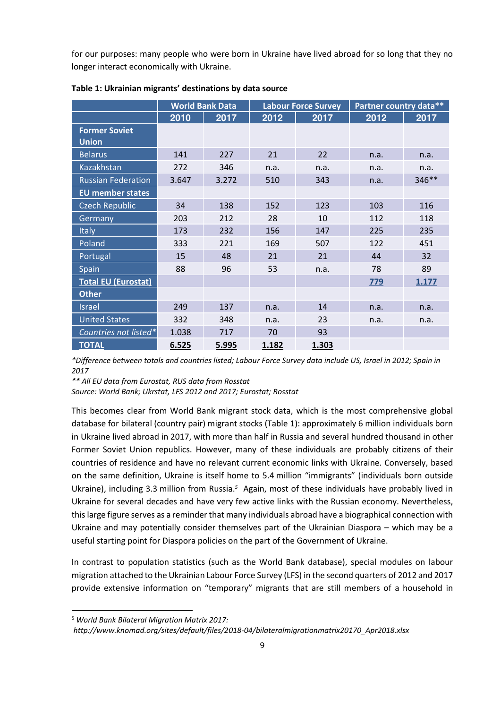for our purposes: many people who were born in Ukraine have lived abroad for so long that they no longer interact economically with Ukraine.

|                                      | <b>World Bank Data</b> |       | <b>Labour Force Survey</b> |       | Partner country data** |       |
|--------------------------------------|------------------------|-------|----------------------------|-------|------------------------|-------|
|                                      | $\overline{20}10$      | 2017  | 2012                       | 2017  | 2012                   | 2017  |
| <b>Former Soviet</b><br><b>Union</b> |                        |       |                            |       |                        |       |
| <b>Belarus</b>                       | 141                    | 227   | 21                         | 22    | n.a.                   | n.a.  |
| <b>Kazakhstan</b>                    | 272                    | 346   | n.a.                       | n.a.  | n.a.                   | n.a.  |
| <b>Russian Federation</b>            | 3.647                  | 3.272 | 510                        | 343   | n.a.                   | 346** |
| <b>EU</b> member states              |                        |       |                            |       |                        |       |
| <b>Czech Republic</b>                | 34                     | 138   | 152                        | 123   | 103                    | 116   |
| Germany                              | 203                    | 212   | 28                         | 10    | 112                    | 118   |
| <b>Italy</b>                         | 173                    | 232   | 156                        | 147   | 225                    | 235   |
| Poland                               | 333                    | 221   | 169                        | 507   | 122                    | 451   |
| Portugal                             | 15                     | 48    | 21                         | 21    | 44                     | 32    |
| Spain                                | 88                     | 96    | 53                         | n.a.  | 78                     | 89    |
| <b>Total EU (Eurostat)</b>           |                        |       |                            |       | 779                    | 1.177 |
| <b>Other</b>                         |                        |       |                            |       |                        |       |
| <b>Israel</b>                        | 249                    | 137   | n.a.                       | 14    | n.a.                   | n.a.  |
| <b>United States</b>                 | 332                    | 348   | n.a.                       | 23    | n.a.                   | n.a.  |
| Countries not listed*                | 1.038                  | 717   | 70                         | 93    |                        |       |
| <b>TOTAL</b>                         | 6.525                  | 5.995 | 1.182                      | 1.303 |                        |       |

<span id="page-8-0"></span>**Table 1: Ukrainian migrants' destinations by data source**

*\*Difference between totals and countries listed; Labour Force Survey data include US, Israel in 2012; Spain in 2017*

*\*\* All EU data from Eurostat, RUS data from Rosstat* 

*Source: World Bank; Ukrstat, LFS 2012 and 2017; Eurostat; Rosstat* 

This becomes clear from World Bank migrant stock data, which is the most comprehensive global database for bilateral (country pair) migrant stocks (Table 1): approximately 6 million individuals born in Ukraine lived abroad in 2017, with more than half in Russia and several hundred thousand in other Former Soviet Union republics. However, many of these individuals are probably citizens of their countries of residence and have no relevant current economic links with Ukraine. Conversely, based on the same definition, Ukraine is itself home to 5.4 million "immigrants" (individuals born outside Ukraine), including 3.3 million from Russia.<sup>5</sup> Again, most of these individuals have probably lived in Ukraine for several decades and have very few active links with the Russian economy. Nevertheless, this large figure serves as a reminder that many individuals abroad have a biographical connection with Ukraine and may potentially consider themselves part of the Ukrainian Diaspora – which may be a useful starting point for Diaspora policies on the part of the Government of Ukraine.

In contrast to population statistics (such as the World Bank database), special modules on labour migration attached to the Ukrainian Labour Force Survey (LFS) in the second quarters of 2012 and 2017 provide extensive information on "temporary" migrants that are still members of a household in

<sup>5</sup>  *World Bank Bilateral Migration Matrix 2017:* 

*http://www.knomad.org/sites/default/files/2018-04/bilateralmigrationmatrix20170\_Apr2018.xlsx*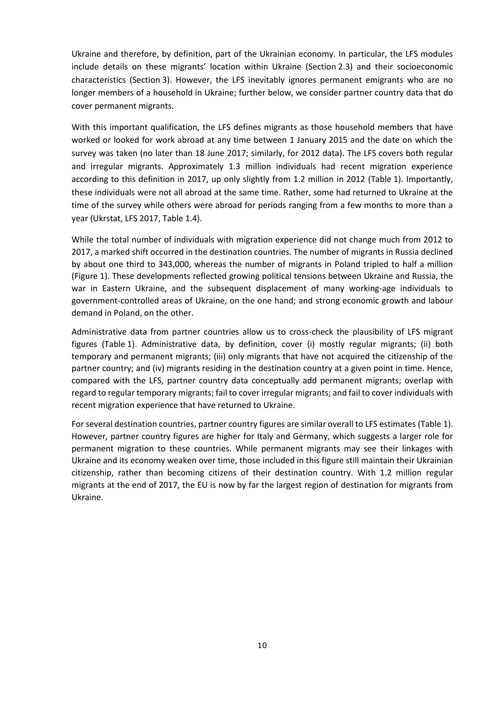Ukraine and therefore, by definition, part of the Ukrainian economy. In particular, the LFS modules include details on these migrants' location within Ukraine (Section [2.3\)](#page-12-0) and their socioeconomic characteristics (Section 3). However, the LFS inevitably ignores permanent emigrants who are no longer members of a household in Ukraine; further below, we consider partner country data that do cover permanent migrants.

With this important qualification, the LFS defines migrants as those household members that have worked or looked for work abroad at any time between 1 January 2015 and the date on which the survey was taken (no later than 18 June 2017; similarly, for 2012 data). The LFS covers both regular and irregular migrants. Approximately 1.3 million individuals had recent migration experience according to this definition in 2017, up only slightly from 1.2 million in 2012 (Table 1). Importantly, these individuals were not all abroad at the same time. Rather, some had returned to Ukraine at the time of the survey while others were abroad for periods ranging from a few months to more than a year (Ukrstat, LFS 2017, Table 1.4).

While the total number of individuals with migration experience did not change much from 2012 to 2017, a marked shift occurred in the destination countries. The number of migrants in Russia declined by about one third to 343,000, whereas the number of migrants in Poland tripled to half a million (Figure 1). These developments reflected growing political tensions between Ukraine and Russia, the war in Eastern Ukraine, and the subsequent displacement of many working-age individuals to government-controlled areas of Ukraine, on the one hand; and strong economic growth and labour demand in Poland, on the other.

Administrative data from partner countries allow us to cross-check the plausibility of LFS migrant figures (Table 1). Administrative data, by definition, cover (i) mostly regular migrants; (ii) both temporary and permanent migrants; (iii) only migrants that have not acquired the citizenship of the partner country; and (iv) migrants residing in the destination country at a given point in time. Hence, compared with the LFS, partner country data conceptually add permanent migrants; overlap with regard to regular temporary migrants; fail to cover irregular migrants; and fail to cover individuals with recent migration experience that have returned to Ukraine.

For several destination countries, partner country figures are similar overall to LFS estimates (Table 1). However, partner country figures are higher for Italy and Germany, which suggests a larger role for permanent migration to these countries. While permanent migrants may see their linkages with Ukraine and its economy weaken over time, those included in this figure still maintain their Ukrainian citizenship, rather than becoming citizens of their destination country. With 1.2 million regular migrants at the end of 2017, the EU is now by far the largest region of destination for migrants from Ukraine.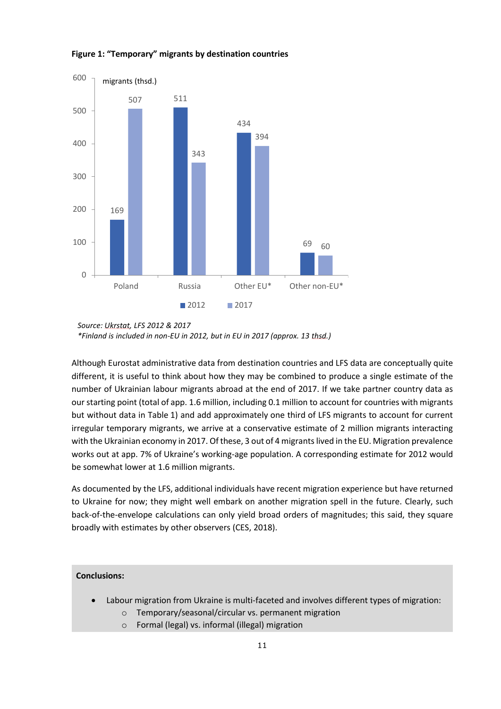

#### **Figure 1: "Temporary" migrants by destination countries**

Although Eurostat administrative data from destination countries and LFS data are conceptually quite different, it is useful to think about how they may be combined to produce a single estimate of the number of Ukrainian labour migrants abroad at the end of 2017. If we take partner country data as our starting point (total of app. 1.6 million, including 0.1 million to account for countries with migrants but without data in Table 1) and add approximately one third of LFS migrants to account for current irregular temporary migrants, we arrive at a conservative estimate of 2 million migrants interacting with the Ukrainian economy in 2017. Of these, 3 out of 4 migrants lived in the EU. Migration prevalence works out at app. 7% of Ukraine's working-age population. A corresponding estimate for 2012 would be somewhat lower at 1.6 million migrants.

As documented by the LFS, additional individuals have recent migration experience but have returned to Ukraine for now; they might well embark on another migration spell in the future. Clearly, such back-of-the-envelope calculations can only yield broad orders of magnitudes; this said, they square broadly with estimates by other observers (CES, 2018).

- Labour migration from Ukraine is multi-faceted and involves different types of migration:
	- o Temporary/seasonal/circular vs. permanent migration
	- o Formal (legal) vs. informal (illegal) migration

*Source: Ukrstat, LFS 2012 & 2017 \*Finland is included in non-EU in 2012, but in EU in 2017 (approx. 13 thsd.)*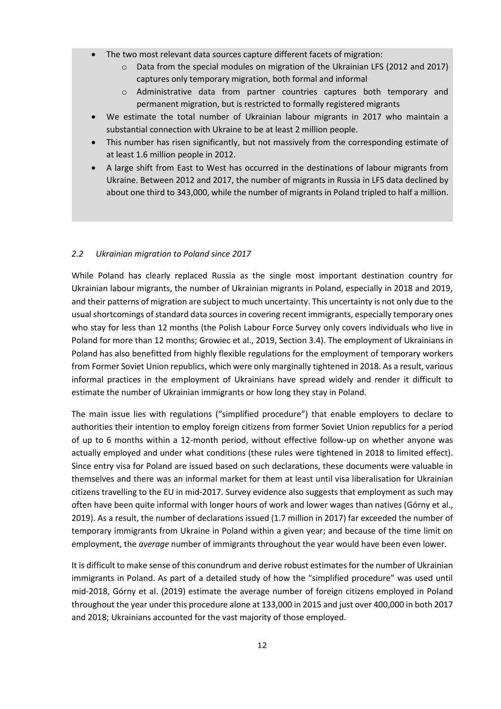- The two most relevant data sources capture different facets of migration:
	- o Data from the special modules on migration of the Ukrainian LFS (2012 and 2017) captures only temporary migration, both formal and informal
	- o Administrative data from partner countries captures both temporary and permanent migration, but is restricted to formally registered migrants
- We estimate the total number of Ukrainian labour migrants in 2017 who maintain a substantial connection with Ukraine to be at least 2 million people.
- This number has risen significantly, but not massively from the corresponding estimate of at least 1.6 million people in 2012.
- A large shift from East to West has occurred in the destinations of labour migrants from Ukraine. Between 2012 and 2017, the number of migrants in Russia in LFS data declined by about one third to 343,000, while the number of migrants in Poland tripled to half a million.

## <span id="page-11-0"></span>*2.2 Ukrainian migration to Poland since 2017*

While Poland has clearly replaced Russia as the single most important destination country for Ukrainian labour migrants, the number of Ukrainian migrants in Poland, especially in 2018 and 2019, and their patterns of migration are subject to much uncertainty. This uncertainty is not only due to the usual shortcomings of standard data sources in covering recent immigrants, especially temporary ones who stay for less than 12 months (the Polish Labour Force Survey only covers individuals who live in Poland for more than 12 months; Growiec et al., 2019, Section 3.4). The employment of Ukrainians in Poland has also benefitted from highly flexible regulations for the employment of temporary workers from Former Soviet Union republics, which were only marginally tightened in 2018. As a result, various informal practices in the employment of Ukrainians have spread widely and render it difficult to estimate the number of Ukrainian immigrants or how long they stay in Poland.

The main issue lies with regulations ("simplified procedure") that enable employers to declare to authorities their intention to employ foreign citizens from former Soviet Union republics for a period of up to 6 months within a 12-month period, without effective follow-up on whether anyone was actually employed and under what conditions (these rules were tightened in 2018 to limited effect). Since entry visa for Poland are issued based on such declarations, these documents were valuable in themselves and there was an informal market for them at least until visa liberalisation for Ukrainian citizens travelling to the EU in mid-2017. Survey evidence also suggests that employment as such may often have been quite informal with longer hours of work and lower wages than natives (Górny et al., 2019). As a result, the number of declarations issued (1.7 million in 2017) far exceeded the number of temporary immigrants from Ukraine in Poland within a given year; and because of the time limit on employment, the *average* number of immigrants throughout the year would have been even lower.

It is difficult to make sense of this conundrum and derive robust estimates for the number of Ukrainian immigrants in Poland. As part of a detailed study of how the "simplified procedure" was used until mid-2018, Górny et al. (2019) estimate the average number of foreign citizens employed in Poland throughout the year under this procedure alone at 133,000 in 2015 and just over 400,000 in both 2017 and 2018; Ukrainians accounted for the vast majority of those employed.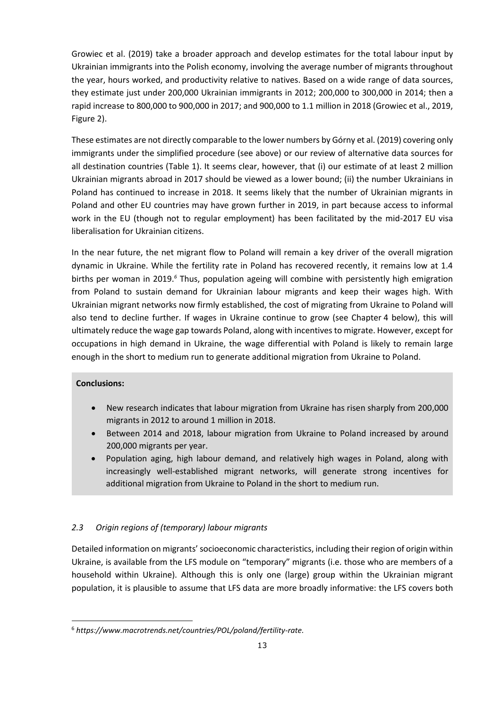Growiec et al. (2019) take a broader approach and develop estimates for the total labour input by Ukrainian immigrants into the Polish economy, involving the average number of migrants throughout the year, hours worked, and productivity relative to natives. Based on a wide range of data sources, they estimate just under 200,000 Ukrainian immigrants in 2012; 200,000 to 300,000 in 2014; then a rapid increase to 800,000 to 900,000 in 2017; and 900,000 to 1.1 million in 2018 (Growiec et al., 2019, Figure 2).

These estimates are not directly comparable to the lower numbers by Górny et al. (2019) covering only immigrants under the simplified procedure (see above) or our review of alternative data sources for all destination countries [\(Table 1\)](#page-8-0). It seems clear, however, that (i) our estimate of at least 2 million Ukrainian migrants abroad in 2017 should be viewed as a lower bound; (ii) the number Ukrainians in Poland has continued to increase in 2018. It seems likely that the number of Ukrainian migrants in Poland and other EU countries may have grown further in 2019, in part because access to informal work in the EU (though not to regular employment) has been facilitated by the mid-2017 EU visa liberalisation for Ukrainian citizens.

In the near future, the net migrant flow to Poland will remain a key driver of the overall migration dynamic in Ukraine. While the fertility rate in Poland has recovered recently, it remains low at 1.4 births per woman in 2019.*<sup>6</sup>* Thus, population ageing will combine with persistently high emigration from Poland to sustain demand for Ukrainian labour migrants and keep their wages high. With Ukrainian migrant networks now firmly established, the cost of migrating from Ukraine to Poland will also tend to decline further. If wages in Ukraine continue to grow (see Chapter 4 below), this will ultimately reduce the wage gap towards Poland, along with incentives to migrate. However, except for occupations in high demand in Ukraine, the wage differential with Poland is likely to remain large enough in the short to medium run to generate additional migration from Ukraine to Poland.

# **Conclusions:**

- New research indicates that labour migration from Ukraine has risen sharply from 200,000 migrants in 2012 to around 1 million in 2018.
- Between 2014 and 2018, labour migration from Ukraine to Poland increased by around 200,000 migrants per year.
- Population aging, high labour demand, and relatively high wages in Poland, along with increasingly well-established migrant networks, will generate strong incentives for additional migration from Ukraine to Poland in the short to medium run.

# <span id="page-12-0"></span>*2.3 Origin regions of (temporary) labour migrants*

Detailed information on migrants' socioeconomic characteristics, including their region of origin within Ukraine, is available from the LFS module on "temporary" migrants (i.e. those who are members of a household within Ukraine). Although this is only one (large) group within the Ukrainian migrant population, it is plausible to assume that LFS data are more broadly informative: the LFS covers both

<sup>6</sup>  *https://www.macrotrends.net/countries/POL/poland/fertility-rate.*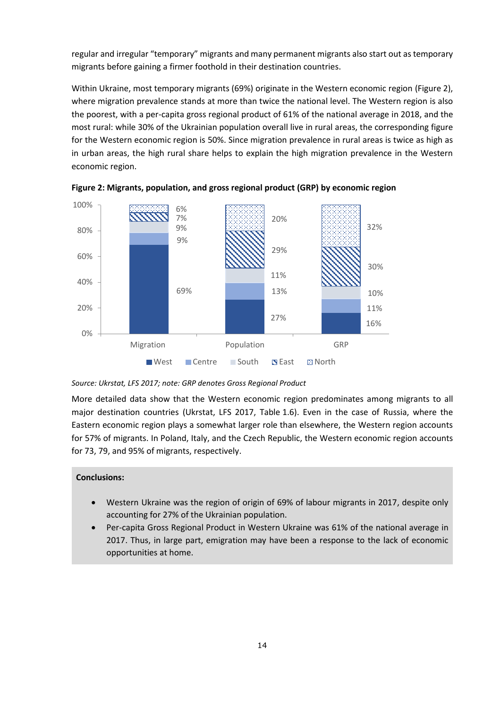regular and irregular "temporary" migrants and many permanent migrants also start out as temporary migrants before gaining a firmer foothold in their destination countries.

Within Ukraine, most temporary migrants (69%) originate in the Western economic region (Figure 2), where migration prevalence stands at more than twice the national level. The Western region is also the poorest, with a per-capita gross regional product of 61% of the national average in 2018, and the most rural: while 30% of the Ukrainian population overall live in rural areas, the corresponding figure for the Western economic region is 50%. Since migration prevalence in rural areas is twice as high as in urban areas, the high rural share helps to explain the high migration prevalence in the Western economic region.



**Figure 2: Migrants, population, and gross regional product (GRP) by economic region** 

*Source: Ukrstat, LFS 2017; note: GRP denotes Gross Regional Product*

More detailed data show that the Western economic region predominates among migrants to all major destination countries (Ukrstat, LFS 2017, Table 1.6). Even in the case of Russia, where the Eastern economic region plays a somewhat larger role than elsewhere, the Western region accounts for 57% of migrants. In Poland, Italy, and the Czech Republic, the Western economic region accounts for 73, 79, and 95% of migrants, respectively.

- Western Ukraine was the region of origin of 69% of labour migrants in 2017, despite only accounting for 27% of the Ukrainian population.
- Per-capita Gross Regional Product in Western Ukraine was 61% of the national average in 2017. Thus, in large part, emigration may have been a response to the lack of economic opportunities at home.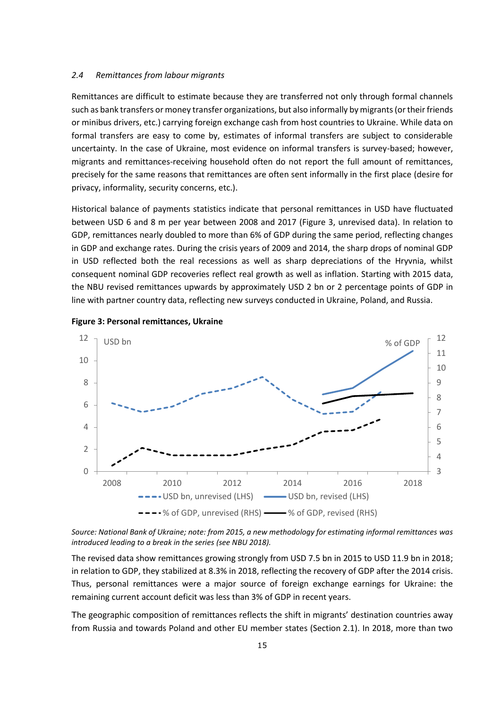#### <span id="page-14-0"></span>*2.4 Remittances from labour migrants*

Remittances are difficult to estimate because they are transferred not only through formal channels such as bank transfers or money transfer organizations, but also informally by migrants (or their friends or minibus drivers, etc.) carrying foreign exchange cash from host countries to Ukraine. While data on formal transfers are easy to come by, estimates of informal transfers are subject to considerable uncertainty. In the case of Ukraine, most evidence on informal transfers is survey-based; however, migrants and remittances-receiving household often do not report the full amount of remittances, precisely for the same reasons that remittances are often sent informally in the first place (desire for privacy, informality, security concerns, etc.).

Historical balance of payments statistics indicate that personal remittances in USD have fluctuated between USD 6 and 8 m per year between 2008 and 2017 [\(Figure 3,](#page-14-1) unrevised data). In relation to GDP, remittances nearly doubled to more than 6% of GDP during the same period, reflecting changes in GDP and exchange rates. During the crisis years of 2009 and 2014, the sharp drops of nominal GDP in USD reflected both the real recessions as well as sharp depreciations of the Hryvnia, whilst consequent nominal GDP recoveries reflect real growth as well as inflation. Starting with 2015 data, the NBU revised remittances upwards by approximately USD 2 bn or 2 percentage points of GDP in line with partner country data, reflecting new surveys conducted in Ukraine, Poland, and Russia.



<span id="page-14-1"></span>

*Source: National Bank of Ukraine; note: from 2015, a new methodology for estimating informal remittances was introduced leading to a break in the series (see NBU 2018).* 

The revised data show remittances growing strongly from USD 7.5 bn in 2015 to USD 11.9 bn in 2018; in relation to GDP, they stabilized at 8.3% in 2018, reflecting the recovery of GDP after the 2014 crisis. Thus, personal remittances were a major source of foreign exchange earnings for Ukraine: the remaining current account deficit was less than 3% of GDP in recent years.

The geographic composition of remittances reflects the shift in migrants' destination countries away from Russia and towards Poland and other EU member states (Sectio[n 2.1\)](#page-7-1). In 2018, more than two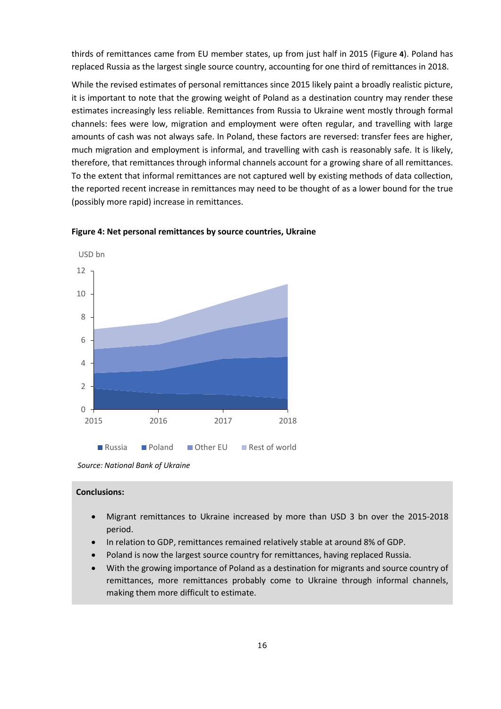thirds of remittances came from EU member states, up from just half in 2015 [\(Figure](#page-15-0) **4**). Poland has replaced Russia as the largest single source country, accounting for one third of remittances in 2018.

While the revised estimates of personal remittances since 2015 likely paint a broadly realistic picture, it is important to note that the growing weight of Poland as a destination country may render these estimates increasingly less reliable. Remittances from Russia to Ukraine went mostly through formal channels: fees were low, migration and employment were often regular, and travelling with large amounts of cash was not always safe. In Poland, these factors are reversed: transfer fees are higher, much migration and employment is informal, and travelling with cash is reasonably safe. It is likely, therefore, that remittances through informal channels account for a growing share of all remittances. To the extent that informal remittances are not captured well by existing methods of data collection, the reported recent increase in remittances may need to be thought of as a lower bound for the true (possibly more rapid) increase in remittances.



<span id="page-15-0"></span>**Figure 4: Net personal remittances by source countries, Ukraine** 

- Migrant remittances to Ukraine increased by more than USD 3 bn over the 2015-2018 period.
- In relation to GDP, remittances remained relatively stable at around 8% of GDP.
- Poland is now the largest source country for remittances, having replaced Russia.
- With the growing importance of Poland as a destination for migrants and source country of remittances, more remittances probably come to Ukraine through informal channels, making them more difficult to estimate.

*Source: National Bank of Ukraine*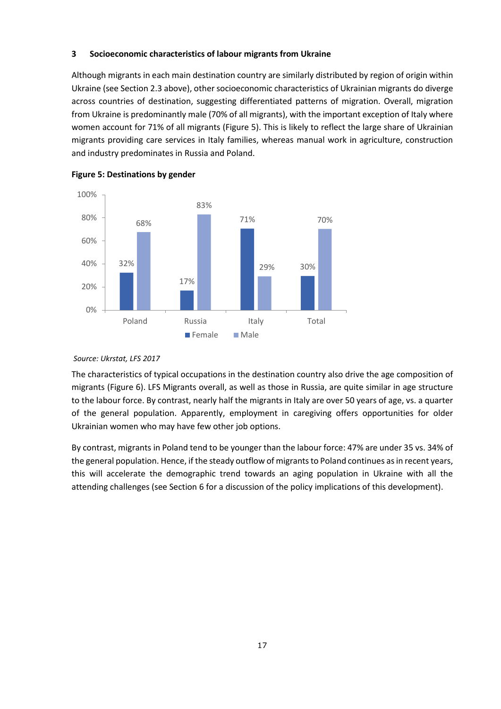## <span id="page-16-0"></span>**3 Socioeconomic characteristics of labour migrants from Ukraine**

Although migrants in each main destination country are similarly distributed by region of origin within Ukraine (see Section 2.3 above), other socioeconomic characteristics of Ukrainian migrants do diverge across countries of destination, suggesting differentiated patterns of migration. Overall, migration from Ukraine is predominantly male (70% of all migrants), with the important exception of Italy where women account for 71% of all migrants [\(Figure 5\)](#page-16-1). This is likely to reflect the large share of Ukrainian migrants providing care services in Italy families, whereas manual work in agriculture, construction and industry predominates in Russia and Poland.



<span id="page-16-1"></span>

#### *Source: Ukrstat, LFS 2017*

The characteristics of typical occupations in the destination country also drive the age composition of migrants [\(Figure 6\)](#page-17-0). LFS Migrants overall, as well as those in Russia, are quite similar in age structure to the labour force. By contrast, nearly half the migrants in Italy are over 50 years of age, vs. a quarter of the general population. Apparently, employment in caregiving offers opportunities for older Ukrainian women who may have few other job options.

By contrast, migrants in Poland tend to be younger than the labour force: 47% are under 35 vs. 34% of the general population. Hence, if the steady outflow of migrants to Poland continues as in recent years, this will accelerate the demographic trend towards an aging population in Ukraine with all the attending challenges (see Section 6 for a discussion of the policy implications of this development).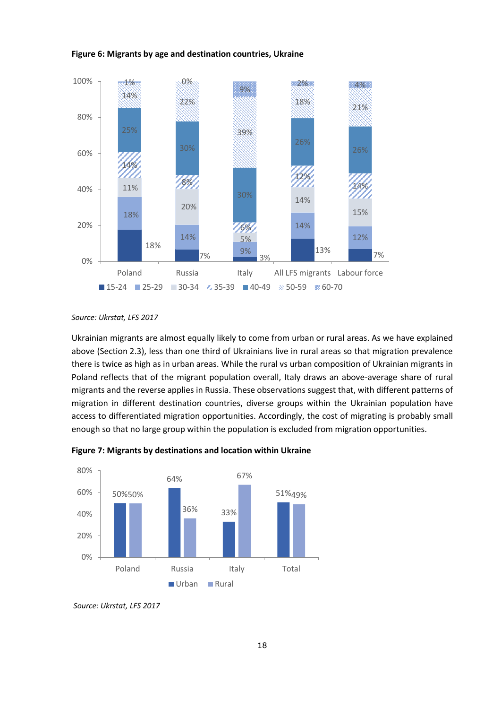<span id="page-17-0"></span>



*Source: Ukrstat, LFS 2017*

Ukrainian migrants are almost equally likely to come from urban or rural areas. As we have explained above (Section 2.3), less than one third of Ukrainians live in rural areas so that migration prevalence there is twice as high as in urban areas. While the rural vs urban composition of Ukrainian migrants in Poland reflects that of the migrant population overall, Italy draws an above-average share of rural migrants and the reverse applies in Russia. These observations suggest that, with different patterns of migration in different destination countries, diverse groups within the Ukrainian population have access to differentiated migration opportunities. Accordingly, the cost of migrating is probably small enough so that no large group within the population is excluded from migration opportunities.



**Figure 7: Migrants by destinations and location within Ukraine** 

*Source: Ukrstat, LFS 2017*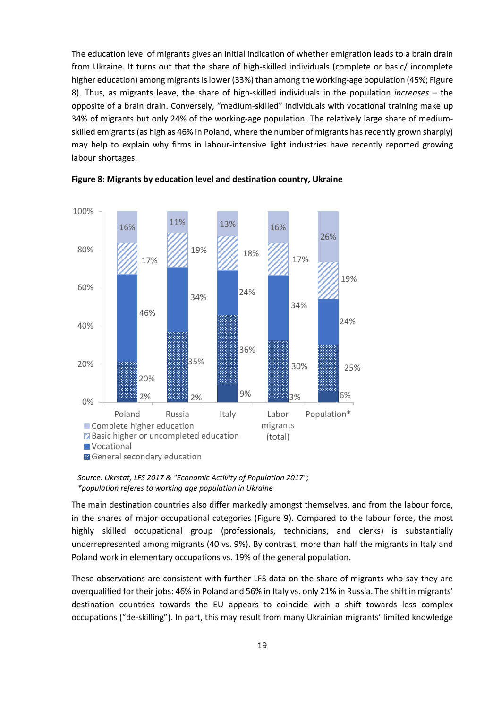The education level of migrants gives an initial indication of whether emigration leads to a brain drain from Ukraine. It turns out that the share of high-skilled individuals (complete or basic/ incomplete higher education) among migrants is lower (33%) than among the working-age population (45%[; Figure](#page-18-0)  [8\)](#page-18-0). Thus, as migrants leave, the share of high-skilled individuals in the population *increases* – the opposite of a brain drain. Conversely, "medium-skilled" individuals with vocational training make up 34% of migrants but only 24% of the working-age population. The relatively large share of mediumskilled emigrants (as high as 46% in Poland, where the number of migrants has recently grown sharply) may help to explain why firms in labour-intensive light industries have recently reported growing labour shortages.



<span id="page-18-0"></span>

The main destination countries also differ markedly amongst themselves, and from the labour force, in the shares of major occupational categories [\(Figure 9\)](#page-19-0). Compared to the labour force, the most highly skilled occupational group (professionals, technicians, and clerks) is substantially underrepresented among migrants (40 vs. 9%). By contrast, more than half the migrants in Italy and Poland work in elementary occupations vs. 19% of the general population.

These observations are consistent with further LFS data on the share of migrants who say they are overqualified for their jobs: 46% in Poland and 56% in Italy vs. only 21% in Russia. The shift in migrants' destination countries towards the EU appears to coincide with a shift towards less complex occupations ("de-skilling"). In part, this may result from many Ukrainian migrants' limited knowledge

*Source: Ukrstat, LFS 2017 & "Economic Activity of Population 2017"; \*population referes to working age population in Ukraine*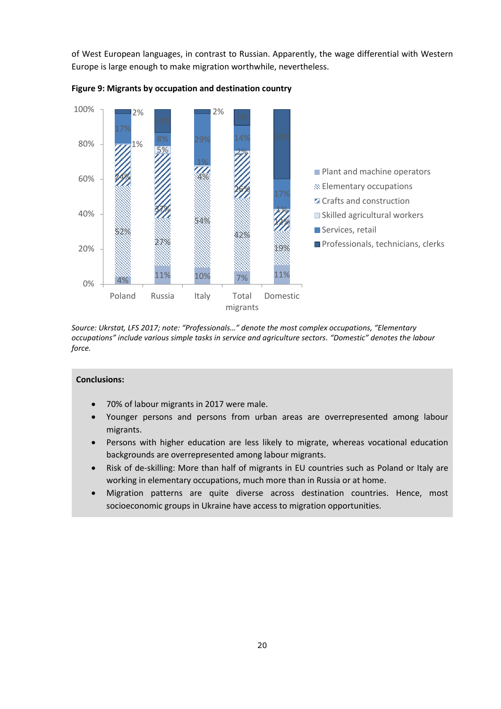of West European languages, in contrast to Russian. Apparently, the wage differential with Western Europe is large enough to make migration worthwhile, nevertheless.



<span id="page-19-0"></span>

*Source: Ukrstat, LFS 2017; note: "Professionals…" denote the most complex occupations, "Elementary occupations" include various simple tasks in service and agriculture sectors. "Domestic" denotes the labour force.* 

- 70% of labour migrants in 2017 were male.
- Younger persons and persons from urban areas are overrepresented among labour migrants.
- Persons with higher education are less likely to migrate, whereas vocational education backgrounds are overrepresented among labour migrants.
- Risk of de-skilling: More than half of migrants in EU countries such as Poland or Italy are working in elementary occupations, much more than in Russia or at home.
- Migration patterns are quite diverse across destination countries. Hence, most socioeconomic groups in Ukraine have access to migration opportunities.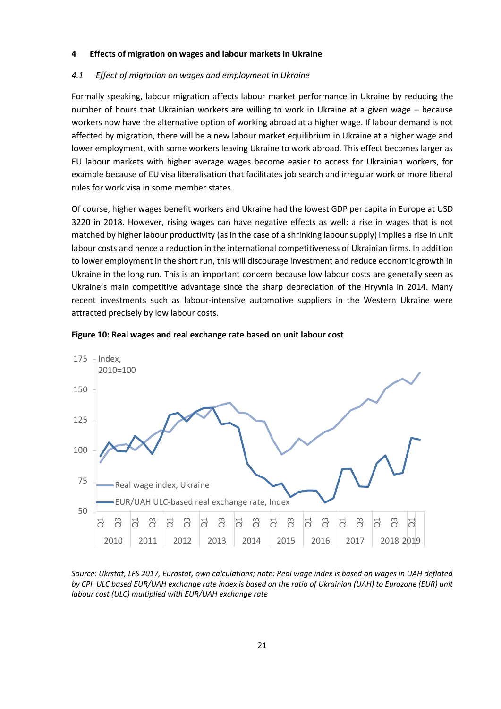#### <span id="page-20-0"></span>**4 Effects of migration on wages and labour markets in Ukraine**

#### <span id="page-20-1"></span>*4.1 Effect of migration on wages and employment in Ukraine*

Formally speaking, labour migration affects labour market performance in Ukraine by reducing the number of hours that Ukrainian workers are willing to work in Ukraine at a given wage – because workers now have the alternative option of working abroad at a higher wage. If labour demand is not affected by migration, there will be a new labour market equilibrium in Ukraine at a higher wage and lower employment, with some workers leaving Ukraine to work abroad. This effect becomes larger as EU labour markets with higher average wages become easier to access for Ukrainian workers, for example because of EU visa liberalisation that facilitates job search and irregular work or more liberal rules for work visa in some member states.

Of course, higher wages benefit workers and Ukraine had the lowest GDP per capita in Europe at USD 3220 in 2018. However, rising wages can have negative effects as well: a rise in wages that is not matched by higher labour productivity (as in the case of a shrinking labour supply) implies a rise in unit labour costs and hence a reduction in the international competitiveness of Ukrainian firms. In addition to lower employment in the short run, this will discourage investment and reduce economic growth in Ukraine in the long run. This is an important concern because low labour costs are generally seen as Ukraine's main competitive advantage since the sharp depreciation of the Hryvnia in 2014. Many recent investments such as labour-intensive automotive suppliers in the Western Ukraine were attracted precisely by low labour costs.



<span id="page-20-2"></span>

*Source: Ukrstat, LFS 2017, Eurostat, own calculations; note: Real wage index is based on wages in UAH deflated by CPI. ULC based EUR/UAH exchange rate index is based on the ratio of Ukrainian (UAH) to Eurozone (EUR) unit labour cost (ULC) multiplied with EUR/UAH exchange rate*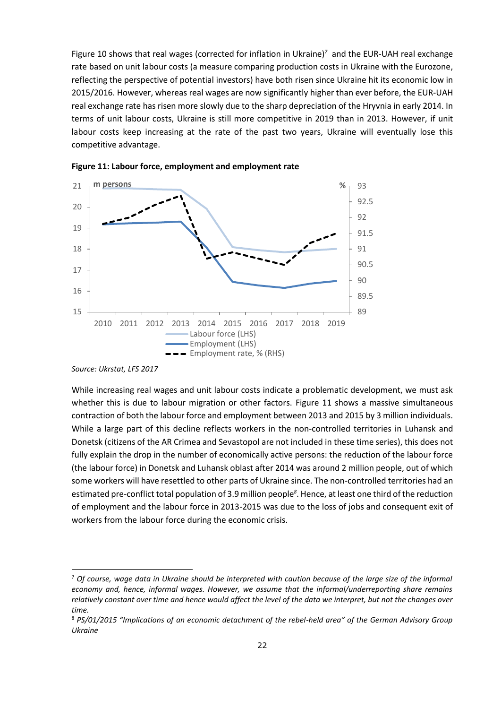[Figure](#page-20-2) 10 shows that real wages (corrected for inflation in Ukraine)*<sup>7</sup>* and the EUR-UAH real exchange rate based on unit labour costs (a measure comparing production costs in Ukraine with the Eurozone, reflecting the perspective of potential investors) have both risen since Ukraine hit its economic low in 2015/2016. However, whereas real wages are now significantly higher than ever before, the EUR-UAH real exchange rate has risen more slowly due to the sharp depreciation of the Hryvnia in early 2014. In terms of unit labour costs, Ukraine is still more competitive in 2019 than in 2013. However, if unit labour costs keep increasing at the rate of the past two years, Ukraine will eventually lose this competitive advantage.



<span id="page-21-0"></span>

While increasing real wages and unit labour costs indicate a problematic development, we must ask whether this is due to labour migration or other factors. [Figure 11](#page-21-0) shows a massive simultaneous contraction of both the labour force and employment between 2013 and 2015 by 3 million individuals. While a large part of this decline reflects workers in the non-controlled territories in Luhansk and Donetsk (citizens of the AR Crimea and Sevastopol are not included in these time series), this does not fully explain the drop in the number of economically active persons: the reduction of the labour force (the labour force) in Donetsk and Luhansk oblast after 2014 was around 2 million people, out of which some workers will have resettled to other parts of Ukraine since. The non-controlled territories had an estimated pre-conflict total population of 3.9 million people*<sup>8</sup>* . Hence, at least one third of the reduction of employment and the labour force in 2013-2015 was due to the loss of jobs and consequent exit of workers from the labour force during the economic crisis.

*Source: Ukrstat, LFS 2017* 

<sup>7</sup>  *Of course, wage data in Ukraine should be interpreted with caution because of the large size of the informal economy and, hence, informal wages. However, we assume that the informal/underreporting share remains relatively constant over time and hence would affect the level of the data we interpret, but not the changes over time.* 

<sup>8</sup> *PS/01/2015 "Implications of an economic detachment of the rebel-held area" of the German Advisory Group Ukraine*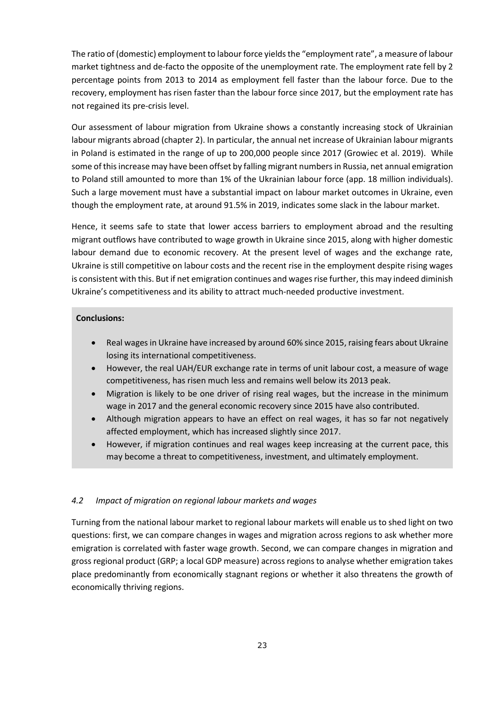The ratio of (domestic) employment to labour force yields the "employment rate", a measure of labour market tightness and de-facto the opposite of the unemployment rate. The employment rate fell by 2 percentage points from 2013 to 2014 as employment fell faster than the labour force. Due to the recovery, employment has risen faster than the labour force since 2017, but the employment rate has not regained its pre-crisis level.

Our assessment of labour migration from Ukraine shows a constantly increasing stock of Ukrainian labour migrants abroad (chapter [2\)](#page-7-0). In particular, the annual net increase of Ukrainian labour migrants in Poland is estimated in the range of up to 200,000 people since 2017 (Growiec et al. 2019). While some of this increase may have been offset by falling migrant numbers in Russia, net annual emigration to Poland still amounted to more than 1% of the Ukrainian labour force (app. 18 million individuals). Such a large movement must have a substantial impact on labour market outcomes in Ukraine, even though the employment rate, at around 91.5% in 2019, indicates some slack in the labour market.

Hence, it seems safe to state that lower access barriers to employment abroad and the resulting migrant outflows have contributed to wage growth in Ukraine since 2015, along with higher domestic labour demand due to economic recovery. At the present level of wages and the exchange rate, Ukraine is still competitive on labour costs and the recent rise in the employment despite rising wages is consistent with this. But if net emigration continues and wages rise further, this may indeed diminish Ukraine's competitiveness and its ability to attract much-needed productive investment.

## **Conclusions:**

- Real wages in Ukraine have increased by around 60% since 2015, raising fears about Ukraine losing its international competitiveness.
- However, the real UAH/EUR exchange rate in terms of unit labour cost, a measure of wage competitiveness, has risen much less and remains well below its 2013 peak.
- Migration is likely to be one driver of rising real wages, but the increase in the minimum wage in 2017 and the general economic recovery since 2015 have also contributed.
- Although migration appears to have an effect on real wages, it has so far not negatively affected employment, which has increased slightly since 2017.
- However, if migration continues and real wages keep increasing at the current pace, this may become a threat to competitiveness, investment, and ultimately employment.

## <span id="page-22-0"></span>*4.2 Impact of migration on regional labour markets and wages*

Turning from the national labour market to regional labour markets will enable us to shed light on two questions: first, we can compare changes in wages and migration across regions to ask whether more emigration is correlated with faster wage growth. Second, we can compare changes in migration and gross regional product (GRP; a local GDP measure) across regions to analyse whether emigration takes place predominantly from economically stagnant regions or whether it also threatens the growth of economically thriving regions.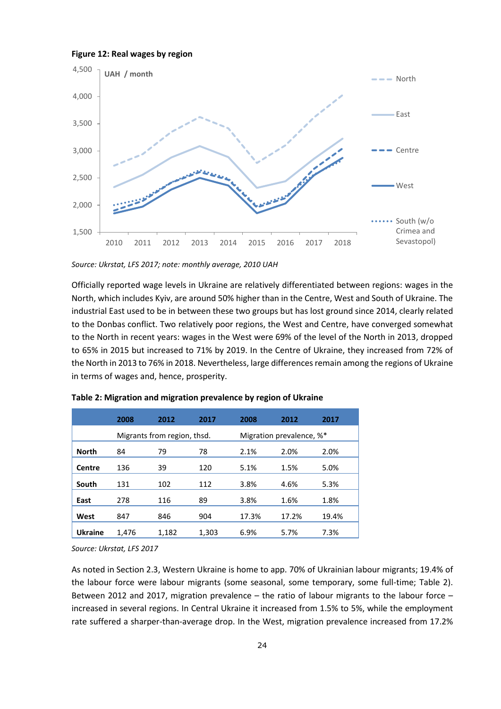



*Source: Ukrstat, LFS 2017; note: monthly average, 2010 UAH* 

Officially reported wage levels in Ukraine are relatively differentiated between regions: wages in the North, which includes Kyiv, are around 50% higher than in the Centre, West and South of Ukraine. The industrial East used to be in between these two groups but has lost ground since 2014, clearly related to the Donbas conflict. Two relatively poor regions, the West and Centre, have converged somewhat to the North in recent years: wages in the West were 69% of the level of the North in 2013, dropped to 65% in 2015 but increased to 71% by 2019. In the Centre of Ukraine, they increased from 72% of the North in 2013 to 76% in 2018. Nevertheless, large differences remain among the regions of Ukraine in terms of wages and, hence, prosperity.

|                | 2008                        | 2012  | 2017  | 2008                     | 2012  | 2017  |
|----------------|-----------------------------|-------|-------|--------------------------|-------|-------|
|                | Migrants from region, thsd. |       |       | Migration prevalence, %* |       |       |
| <b>North</b>   | 84                          | 79    | 78    | 2.1%                     | 2.0%  | 2.0%  |
| Centre         | 136                         | 39    | 120   | 5.1%                     | 1.5%  | 5.0%  |
| South          | 131                         | 102   | 112   | 3.8%                     | 4.6%  | 5.3%  |
| East           | 278                         | 116   | 89    | 3.8%                     | 1.6%  | 1.8%  |
| West           | 847                         | 846   | 904   | 17.3%                    | 17.2% | 19.4% |
| <b>Ukraine</b> | 1.476                       | 1.182 | 1.303 | 6.9%                     | 5.7%  | 7.3%  |

<span id="page-23-0"></span>**Table 2: Migration and migration prevalence by region of Ukraine** 

*Source: Ukrstat, LFS 2017*

As noted in Section [2.3,](#page-12-0) Western Ukraine is home to app. 70% of Ukrainian labour migrants; 19.4% of the labour force were labour migrants (some seasonal, some temporary, some full-time; [Table 2\)](#page-23-0). Between 2012 and 2017, migration prevalence – the ratio of labour migrants to the labour force – increased in several regions. In Central Ukraine it increased from 1.5% to 5%, while the employment rate suffered a sharper-than-average drop. In the West, migration prevalence increased from 17.2%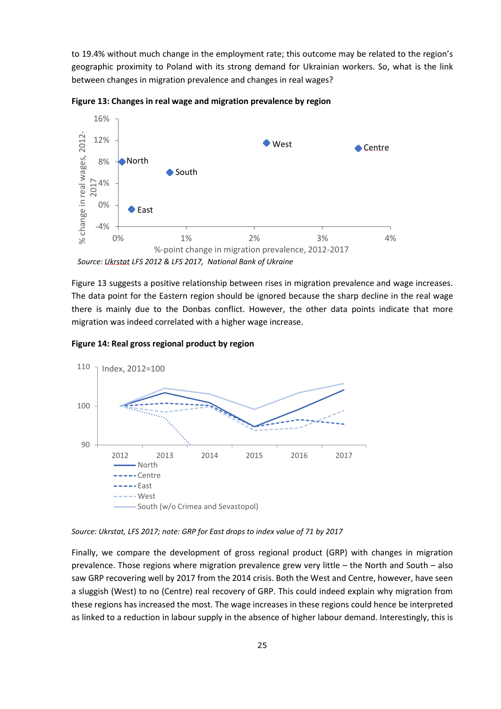to 19.4% without much change in the employment rate; this outcome may be related to the region's geographic proximity to Poland with its strong demand for Ukrainian workers. So, what is the link between changes in migration prevalence and changes in real wages?



**Figure 13: Changes in real wage and migration prevalence by region** 

Figure 13 suggests a positive relationship between rises in migration prevalence and wage increases. The data point for the Eastern region should be ignored because the sharp decline in the real wage there is mainly due to the Donbas conflict. However, the other data points indicate that more migration was indeed correlated with a higher wage increase.





*Source: Ukrstat, LFS 2017; note: GRP for East drops to index value of 71 by 2017* 

Finally, we compare the development of gross regional product (GRP) with changes in migration prevalence. Those regions where migration prevalence grew very little – the North and South – also saw GRP recovering well by 2017 from the 2014 crisis. Both the West and Centre, however, have seen a sluggish (West) to no (Centre) real recovery of GRP. This could indeed explain why migration from these regions has increased the most. The wage increases in these regions could hence be interpreted as linked to a reduction in labour supply in the absence of higher labour demand. Interestingly, this is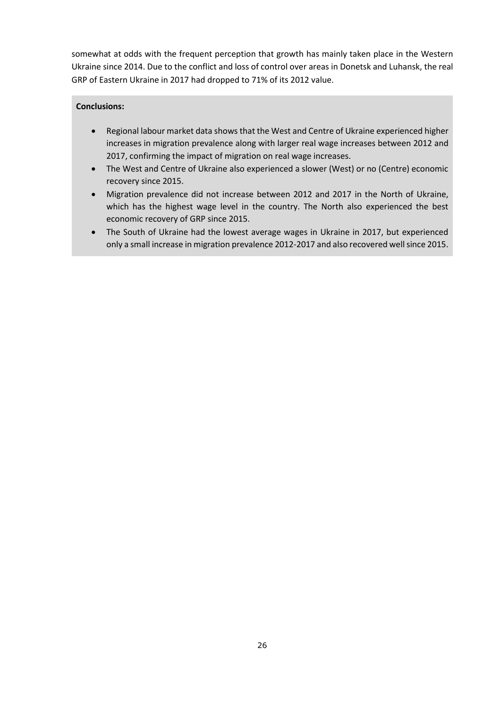somewhat at odds with the frequent perception that growth has mainly taken place in the Western Ukraine since 2014. Due to the conflict and loss of control over areas in Donetsk and Luhansk, the real GRP of Eastern Ukraine in 2017 had dropped to 71% of its 2012 value.

- Regional labour market data shows that the West and Centre of Ukraine experienced higher increases in migration prevalence along with larger real wage increases between 2012 and 2017, confirming the impact of migration on real wage increases.
- The West and Centre of Ukraine also experienced a slower (West) or no (Centre) economic recovery since 2015.
- Migration prevalence did not increase between 2012 and 2017 in the North of Ukraine, which has the highest wage level in the country. The North also experienced the best economic recovery of GRP since 2015.
- The South of Ukraine had the lowest average wages in Ukraine in 2017, but experienced only a small increase in migration prevalence 2012-2017 and also recovered well since 2015.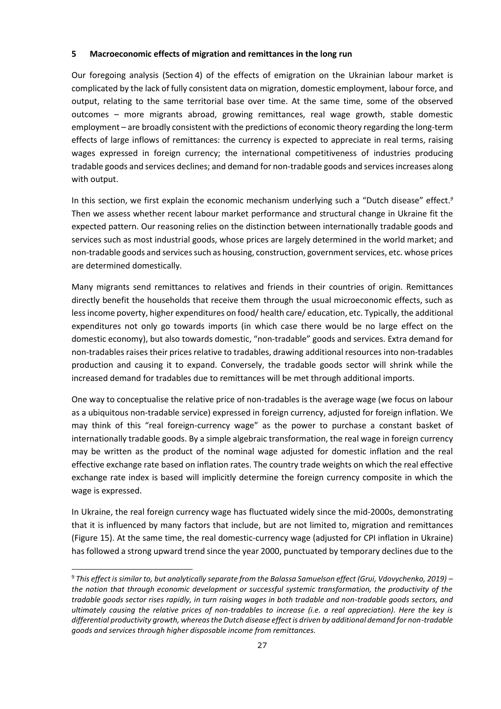## <span id="page-26-0"></span>**5 Macroeconomic effects of migration and remittances in the long run**

Our foregoing analysis (Sectio[n 4\)](#page-20-0) of the effects of emigration on the Ukrainian labour market is complicated by the lack of fully consistent data on migration, domestic employment, labour force, and output, relating to the same territorial base over time. At the same time, some of the observed outcomes – more migrants abroad, growing remittances, real wage growth, stable domestic employment – are broadly consistent with the predictions of economic theory regarding the long-term effects of large inflows of remittances: the currency is expected to appreciate in real terms, raising wages expressed in foreign currency; the international competitiveness of industries producing tradable goods and services declines; and demand for non-tradable goods and services increases along with output.

In this section, we first explain the economic mechanism underlying such a "Dutch disease" effect.*<sup>9</sup>* Then we assess whether recent labour market performance and structural change in Ukraine fit the expected pattern. Our reasoning relies on the distinction between internationally tradable goods and services such as most industrial goods, whose prices are largely determined in the world market; and non-tradable goods and services such as housing, construction, government services, etc. whose prices are determined domestically.

Many migrants send remittances to relatives and friends in their countries of origin. Remittances directly benefit the households that receive them through the usual microeconomic effects, such as less income poverty, higher expenditures on food/ health care/ education, etc. Typically, the additional expenditures not only go towards imports (in which case there would be no large effect on the domestic economy), but also towards domestic, "non-tradable" goods and services. Extra demand for non-tradables raises their prices relative to tradables, drawing additional resources into non-tradables production and causing it to expand. Conversely, the tradable goods sector will shrink while the increased demand for tradables due to remittances will be met through additional imports.

One way to conceptualise the relative price of non-tradables is the average wage (we focus on labour as a ubiquitous non-tradable service) expressed in foreign currency, adjusted for foreign inflation. We may think of this "real foreign-currency wage" as the power to purchase a constant basket of internationally tradable goods. By a simple algebraic transformation, the real wage in foreign currency may be written as the product of the nominal wage adjusted for domestic inflation and the real effective exchange rate based on inflation rates. The country trade weights on which the real effective exchange rate index is based will implicitly determine the foreign currency composite in which the wage is expressed.

In Ukraine, the real foreign currency wage has fluctuated widely since the mid-2000s, demonstrating that it is influenced by many factors that include, but are not limited to, migration and remittances [\(Figure 15\)](#page-27-0). At the same time, the real domestic-currency wage (adjusted for CPI inflation in Ukraine) has followed a strong upward trend since the year 2000, punctuated by temporary declines due to the

<sup>9</sup>  *This effect is similar to, but analytically separate from the Balassa Samuelson effect (Grui, Vdovychenko, 2019) – the notion that through economic development or successful systemic transformation, the productivity of the tradable goods sector rises rapidly, in turn raising wages in both tradable and non-tradable goods sectors, and ultimately causing the relative prices of non-tradables to increase (i.e. a real appreciation). Here the key is differential productivity growth, whereas the Dutch disease effect is driven by additional demand for non-tradable goods and services through higher disposable income from remittances.*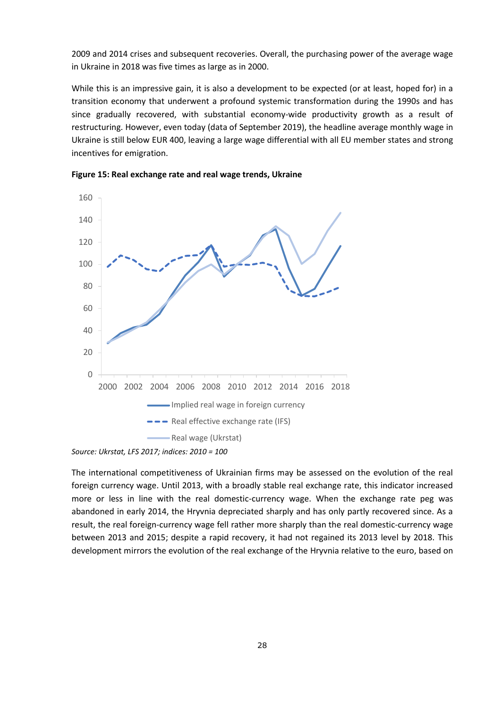2009 and 2014 crises and subsequent recoveries. Overall, the purchasing power of the average wage in Ukraine in 2018 was five times as large as in 2000.

While this is an impressive gain, it is also a development to be expected (or at least, hoped for) in a transition economy that underwent a profound systemic transformation during the 1990s and has since gradually recovered, with substantial economy-wide productivity growth as a result of restructuring. However, even today (data of September 2019), the headline average monthly wage in Ukraine is still below EUR 400, leaving a large wage differential with all EU member states and strong incentives for emigration.



<span id="page-27-0"></span>

*Source: Ukrstat, LFS 2017; indices: 2010 = 100* 

The international competitiveness of Ukrainian firms may be assessed on the evolution of the real foreign currency wage. Until 2013, with a broadly stable real exchange rate, this indicator increased more or less in line with the real domestic-currency wage. When the exchange rate peg was abandoned in early 2014, the Hryvnia depreciated sharply and has only partly recovered since. As a result, the real foreign-currency wage fell rather more sharply than the real domestic-currency wage between 2013 and 2015; despite a rapid recovery, it had not regained its 2013 level by 2018. This development mirrors the evolution of the real exchange of the Hryvnia relative to the euro, based on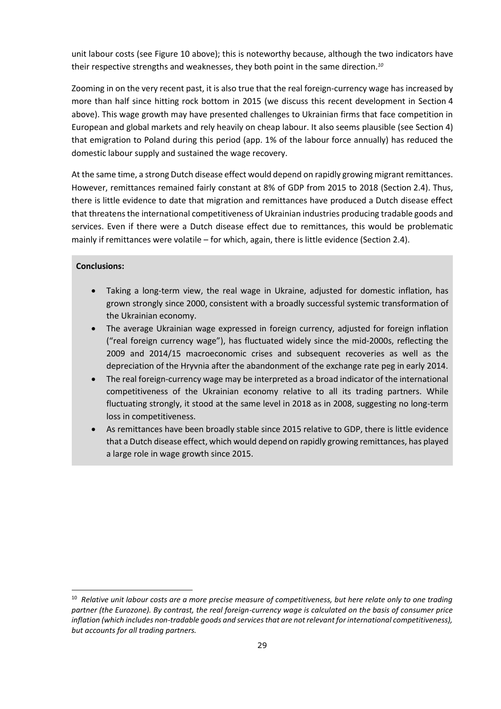unit labour costs (se[e Figure](#page-20-2) 10 above); this is noteworthy because, although the two indicators have their respective strengths and weaknesses, they both point in the same direction.*<sup>10</sup>*

Zooming in on the very recent past, it is also true that the real foreign-currency wage has increased by more than half since hitting rock bottom in 2015 (we discuss this recent development in Section [4](#page-20-0)  above). This wage growth may have presented challenges to Ukrainian firms that face competition in European and global markets and rely heavily on cheap labour. It also seems plausible (see Sectio[n 4\)](#page-20-0) that emigration to Poland during this period (app. 1% of the labour force annually) has reduced the domestic labour supply and sustained the wage recovery.

At the same time, a strong Dutch disease effect would depend on rapidly growing migrant remittances. However, remittances remained fairly constant at 8% of GDP from 2015 to 2018 (Sectio[n 2.4\)](#page-14-0). Thus, there is little evidence to date that migration and remittances have produced a Dutch disease effect that threatens the international competitiveness of Ukrainian industries producing tradable goods and services. Even if there were a Dutch disease effect due to remittances, this would be problematic mainly if remittances were volatile – for which, again, there is little evidence (Section [2.4\)](#page-14-0).

- Taking a long-term view, the real wage in Ukraine, adjusted for domestic inflation, has grown strongly since 2000, consistent with a broadly successful systemic transformation of the Ukrainian economy.
- The average Ukrainian wage expressed in foreign currency, adjusted for foreign inflation ("real foreign currency wage"), has fluctuated widely since the mid-2000s, reflecting the 2009 and 2014/15 macroeconomic crises and subsequent recoveries as well as the depreciation of the Hryvnia after the abandonment of the exchange rate peg in early 2014.
- The real foreign-currency wage may be interpreted as a broad indicator of the international competitiveness of the Ukrainian economy relative to all its trading partners. While fluctuating strongly, it stood at the same level in 2018 as in 2008, suggesting no long-term loss in competitiveness.
- As remittances have been broadly stable since 2015 relative to GDP, there is little evidence that a Dutch disease effect, which would depend on rapidly growing remittances, has played a large role in wage growth since 2015.

<sup>10</sup> *Relative unit labour costs are a more precise measure of competitiveness, but here relate only to one trading partner (the Eurozone). By contrast, the real foreign-currency wage is calculated on the basis of consumer price inflation (which includes non-tradable goods and services that are not relevant for international competitiveness), but accounts for all trading partners.*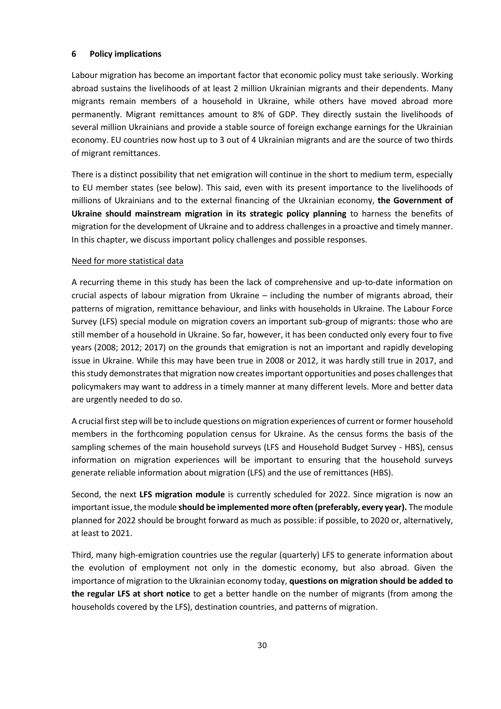## <span id="page-29-0"></span>**6 Policy implications**

Labour migration has become an important factor that economic policy must take seriously. Working abroad sustains the livelihoods of at least 2 million Ukrainian migrants and their dependents. Many migrants remain members of a household in Ukraine, while others have moved abroad more permanently. Migrant remittances amount to 8% of GDP. They directly sustain the livelihoods of several million Ukrainians and provide a stable source of foreign exchange earnings for the Ukrainian economy. EU countries now host up to 3 out of 4 Ukrainian migrants and are the source of two thirds of migrant remittances.

There is a distinct possibility that net emigration will continue in the short to medium term, especially to EU member states (see below). This said, even with its present importance to the livelihoods of millions of Ukrainians and to the external financing of the Ukrainian economy, **the Government of Ukraine should mainstream migration in its strategic policy planning** to harness the benefits of migration for the development of Ukraine and to address challenges in a proactive and timely manner. In this chapter, we discuss important policy challenges and possible responses.

## Need for more statistical data

A recurring theme in this study has been the lack of comprehensive and up-to-date information on crucial aspects of labour migration from Ukraine – including the number of migrants abroad, their patterns of migration, remittance behaviour, and links with households in Ukraine. The Labour Force Survey (LFS) special module on migration covers an important sub-group of migrants: those who are still member of a household in Ukraine. So far, however, it has been conducted only every four to five years (2008; 2012; 2017) on the grounds that emigration is not an important and rapidly developing issue in Ukraine. While this may have been true in 2008 or 2012, it was hardly still true in 2017, and this study demonstrates that migration now creates important opportunities and poses challenges that policymakers may want to address in a timely manner at many different levels. More and better data are urgently needed to do so.

A crucial first step will be to include questions on migration experiences of current or former household members in the forthcoming population census for Ukraine. As the census forms the basis of the sampling schemes of the main household surveys (LFS and Household Budget Survey - HBS), census information on migration experiences will be important to ensuring that the household surveys generate reliable information about migration (LFS) and the use of remittances (HBS).

Second, the next **LFS migration module** is currently scheduled for 2022. Since migration is now an important issue, the module **should be implemented more often (preferably, every year).** The module planned for 2022 should be brought forward as much as possible: if possible, to 2020 or, alternatively, at least to 2021.

Third, many high-emigration countries use the regular (quarterly) LFS to generate information about the evolution of employment not only in the domestic economy, but also abroad. Given the importance of migration to the Ukrainian economy today, **questions on migration should be added to the regular LFS at short notice** to get a better handle on the number of migrants (from among the households covered by the LFS), destination countries, and patterns of migration.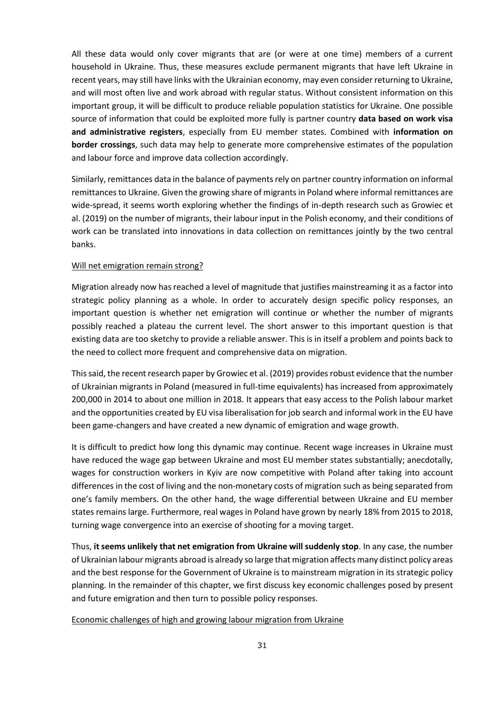All these data would only cover migrants that are (or were at one time) members of a current household in Ukraine. Thus, these measures exclude permanent migrants that have left Ukraine in recent years, may still have links with the Ukrainian economy, may even consider returning to Ukraine, and will most often live and work abroad with regular status. Without consistent information on this important group, it will be difficult to produce reliable population statistics for Ukraine. One possible source of information that could be exploited more fully is partner country **data based on work visa and administrative registers**, especially from EU member states. Combined with **information on border crossings**, such data may help to generate more comprehensive estimates of the population and labour force and improve data collection accordingly.

Similarly, remittances data in the balance of payments rely on partner country information on informal remittances to Ukraine. Given the growing share of migrants in Poland where informal remittances are wide-spread, it seems worth exploring whether the findings of in-depth research such as Growiec et al. (2019) on the number of migrants, their labour input in the Polish economy, and their conditions of work can be translated into innovations in data collection on remittances jointly by the two central banks.

#### Will net emigration remain strong?

Migration already now has reached a level of magnitude that justifies mainstreaming it as a factor into strategic policy planning as a whole. In order to accurately design specific policy responses, an important question is whether net emigration will continue or whether the number of migrants possibly reached a plateau the current level. The short answer to this important question is that existing data are too sketchy to provide a reliable answer. This is in itself a problem and points back to the need to collect more frequent and comprehensive data on migration.

This said, the recent research paper by Growiec et al. (2019) provides robust evidence that the number of Ukrainian migrants in Poland (measured in full-time equivalents) has increased from approximately 200,000 in 2014 to about one million in 2018. It appears that easy access to the Polish labour market and the opportunities created by EU visa liberalisation for job search and informal work in the EU have been game-changers and have created a new dynamic of emigration and wage growth.

It is difficult to predict how long this dynamic may continue. Recent wage increases in Ukraine must have reduced the wage gap between Ukraine and most EU member states substantially; anecdotally, wages for construction workers in Kyiv are now competitive with Poland after taking into account differences in the cost of living and the non-monetary costs of migration such as being separated from one's family members. On the other hand, the wage differential between Ukraine and EU member states remains large. Furthermore, real wages in Poland have grown by nearly 18% from 2015 to 2018, turning wage convergence into an exercise of shooting for a moving target.

Thus, **it seems unlikely that net emigration from Ukraine will suddenly stop**. In any case, the number of Ukrainian labour migrants abroad is already so large that migration affects many distinct policy areas and the best response for the Government of Ukraine is to mainstream migration in its strategic policy planning. In the remainder of this chapter, we first discuss key economic challenges posed by present and future emigration and then turn to possible policy responses.

#### Economic challenges of high and growing labour migration from Ukraine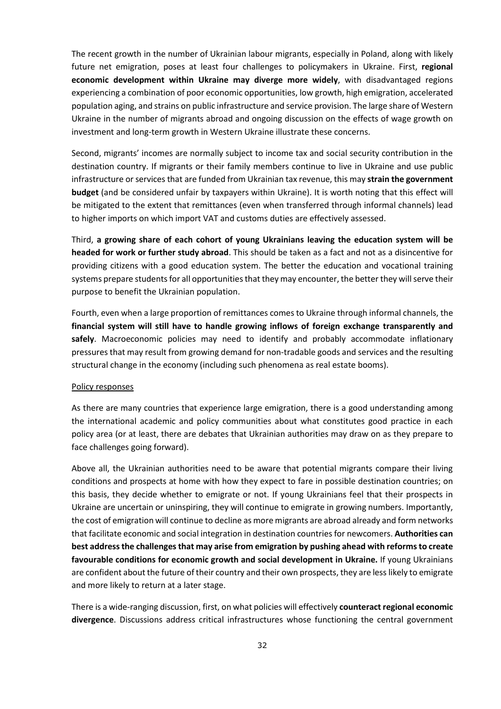The recent growth in the number of Ukrainian labour migrants, especially in Poland, along with likely future net emigration, poses at least four challenges to policymakers in Ukraine. First, **regional economic development within Ukraine may diverge more widely**, with disadvantaged regions experiencing a combination of poor economic opportunities, low growth, high emigration, accelerated population aging, and strains on public infrastructure and service provision. The large share of Western Ukraine in the number of migrants abroad and ongoing discussion on the effects of wage growth on investment and long-term growth in Western Ukraine illustrate these concerns.

Second, migrants' incomes are normally subject to income tax and social security contribution in the destination country. If migrants or their family members continue to live in Ukraine and use public infrastructure or services that are funded from Ukrainian tax revenue, this may **strain the government budget** (and be considered unfair by taxpayers within Ukraine). It is worth noting that this effect will be mitigated to the extent that remittances (even when transferred through informal channels) lead to higher imports on which import VAT and customs duties are effectively assessed.

Third, **a growing share of each cohort of young Ukrainians leaving the education system will be headed for work or further study abroad**. This should be taken as a fact and not as a disincentive for providing citizens with a good education system. The better the education and vocational training systems prepare students for all opportunities that they may encounter, the better they will serve their purpose to benefit the Ukrainian population.

Fourth, even when a large proportion of remittances comes to Ukraine through informal channels, the **financial system will still have to handle growing inflows of foreign exchange transparently and safely**. Macroeconomic policies may need to identify and probably accommodate inflationary pressures that may result from growing demand for non-tradable goods and services and the resulting structural change in the economy (including such phenomena as real estate booms).

## Policy responses

As there are many countries that experience large emigration, there is a good understanding among the international academic and policy communities about what constitutes good practice in each policy area (or at least, there are debates that Ukrainian authorities may draw on as they prepare to face challenges going forward).

Above all, the Ukrainian authorities need to be aware that potential migrants compare their living conditions and prospects at home with how they expect to fare in possible destination countries; on this basis, they decide whether to emigrate or not. If young Ukrainians feel that their prospects in Ukraine are uncertain or uninspiring, they will continue to emigrate in growing numbers. Importantly, the cost of emigration will continue to decline as more migrants are abroad already and form networks that facilitate economic and social integration in destination countries for newcomers. **Authorities can best address the challenges that may arise from emigration by pushing ahead with reforms to create favourable conditions for economic growth and social development in Ukraine.** If young Ukrainians are confident about the future of their country and their own prospects, they are less likely to emigrate and more likely to return at a later stage.

There is a wide-ranging discussion, first, on what policies will effectively **counteract regional economic divergence**. Discussions address critical infrastructures whose functioning the central government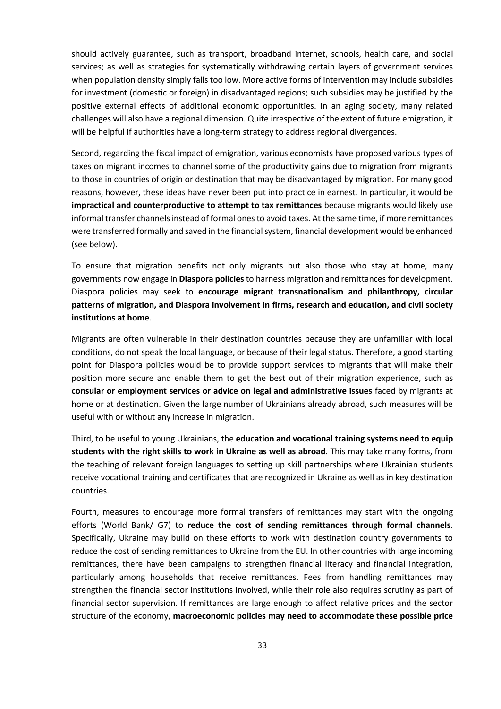should actively guarantee, such as transport, broadband internet, schools, health care, and social services; as well as strategies for systematically withdrawing certain layers of government services when population density simply falls too low. More active forms of intervention may include subsidies for investment (domestic or foreign) in disadvantaged regions; such subsidies may be justified by the positive external effects of additional economic opportunities. In an aging society, many related challenges will also have a regional dimension. Quite irrespective of the extent of future emigration, it will be helpful if authorities have a long-term strategy to address regional divergences.

Second, regarding the fiscal impact of emigration, various economists have proposed various types of taxes on migrant incomes to channel some of the productivity gains due to migration from migrants to those in countries of origin or destination that may be disadvantaged by migration. For many good reasons, however, these ideas have never been put into practice in earnest. In particular, it would be **impractical and counterproductive to attempt to tax remittances** because migrants would likely use informal transfer channels instead of formal ones to avoid taxes. At the same time, if more remittances were transferred formally and saved in the financial system, financial development would be enhanced (see below).

To ensure that migration benefits not only migrants but also those who stay at home, many governments now engage in **Diaspora policies** to harness migration and remittances for development. Diaspora policies may seek to **encourage migrant transnationalism and philanthropy, circular patterns of migration, and Diaspora involvement in firms, research and education, and civil society institutions at home**.

Migrants are often vulnerable in their destination countries because they are unfamiliar with local conditions, do not speak the local language, or because of their legal status. Therefore, a good starting point for Diaspora policies would be to provide support services to migrants that will make their position more secure and enable them to get the best out of their migration experience, such as **consular or employment services or advice on legal and administrative issues** faced by migrants at home or at destination. Given the large number of Ukrainians already abroad, such measures will be useful with or without any increase in migration.

Third, to be useful to young Ukrainians, the **education and vocational training systems need to equip students with the right skills to work in Ukraine as well as abroad**. This may take many forms, from the teaching of relevant foreign languages to setting up skill partnerships where Ukrainian students receive vocational training and certificates that are recognized in Ukraine as well as in key destination countries.

Fourth, measures to encourage more formal transfers of remittances may start with the ongoing efforts (World Bank/ G7) to **reduce the cost of sending remittances through formal channels**. Specifically, Ukraine may build on these efforts to work with destination country governments to reduce the cost of sending remittances to Ukraine from the EU. In other countries with large incoming remittances, there have been campaigns to strengthen financial literacy and financial integration, particularly among households that receive remittances. Fees from handling remittances may strengthen the financial sector institutions involved, while their role also requires scrutiny as part of financial sector supervision. If remittances are large enough to affect relative prices and the sector structure of the economy, **macroeconomic policies may need to accommodate these possible price**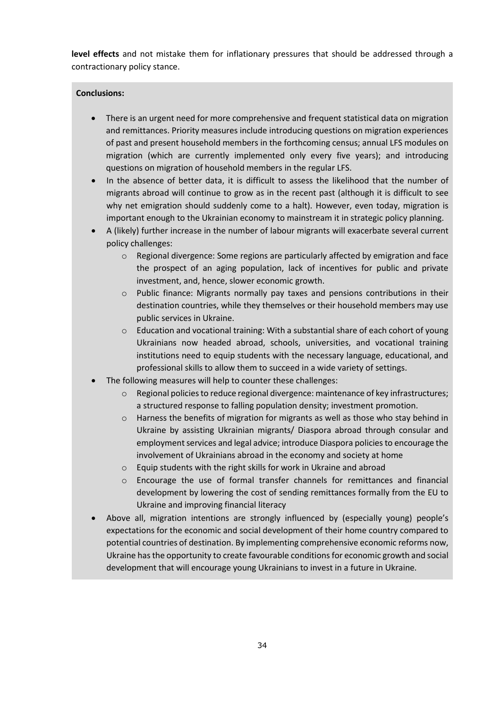**level effects** and not mistake them for inflationary pressures that should be addressed through a contractionary policy stance.

- There is an urgent need for more comprehensive and frequent statistical data on migration and remittances. Priority measures include introducing questions on migration experiences of past and present household members in the forthcoming census; annual LFS modules on migration (which are currently implemented only every five years); and introducing questions on migration of household members in the regular LFS.
- In the absence of better data, it is difficult to assess the likelihood that the number of migrants abroad will continue to grow as in the recent past (although it is difficult to see why net emigration should suddenly come to a halt). However, even today, migration is important enough to the Ukrainian economy to mainstream it in strategic policy planning.
- A (likely) further increase in the number of labour migrants will exacerbate several current policy challenges:
	- $\circ$  Regional divergence: Some regions are particularly affected by emigration and face the prospect of an aging population, lack of incentives for public and private investment, and, hence, slower economic growth.
	- o Public finance: Migrants normally pay taxes and pensions contributions in their destination countries, while they themselves or their household members may use public services in Ukraine.
	- $\circ$  Education and vocational training: With a substantial share of each cohort of young Ukrainians now headed abroad, schools, universities, and vocational training institutions need to equip students with the necessary language, educational, and professional skills to allow them to succeed in a wide variety of settings.
- The following measures will help to counter these challenges:
	- o Regional policies to reduce regional divergence: maintenance of key infrastructures; a structured response to falling population density; investment promotion.
	- $\circ$  Harness the benefits of migration for migrants as well as those who stay behind in Ukraine by assisting Ukrainian migrants/ Diaspora abroad through consular and employment services and legal advice; introduce Diaspora policies to encourage the involvement of Ukrainians abroad in the economy and society at home
	- o Equip students with the right skills for work in Ukraine and abroad
	- $\circ$  Encourage the use of formal transfer channels for remittances and financial development by lowering the cost of sending remittances formally from the EU to Ukraine and improving financial literacy
- Above all, migration intentions are strongly influenced by (especially young) people's expectations for the economic and social development of their home country compared to potential countries of destination. By implementing comprehensive economic reforms now, Ukraine has the opportunity to create favourable conditions for economic growth and social development that will encourage young Ukrainians to invest in a future in Ukraine.